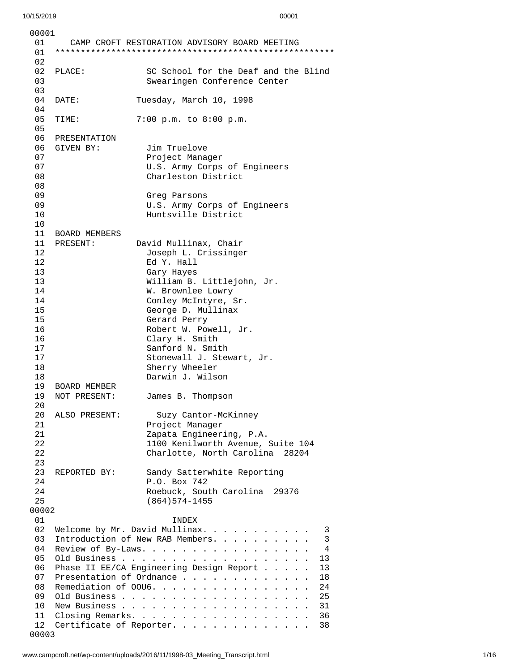| 00001    |                      |                                                               |
|----------|----------------------|---------------------------------------------------------------|
| 01<br>01 |                      | CAMP CROFT RESTORATION ADVISORY BOARD MEETING                 |
| 02       |                      |                                                               |
| 02       | PLACE:               | SC School for the Deaf and the Blind                          |
| 03       |                      | Swearingen Conference Center                                  |
| 03<br>04 |                      |                                                               |
| 04       | DATE:                | Tuesday, March 10, 1998                                       |
| 05       | TIME:                | 7:00 p.m. to 8:00 p.m.                                        |
| 05       |                      |                                                               |
| 06       | PRESENTATION         |                                                               |
| 06 -     | GIVEN BY:            | Jim Truelove                                                  |
| 07       |                      | Project Manager                                               |
| 07       |                      | U.S. Army Corps of Engineers                                  |
| 08       |                      | Charleston District                                           |
| 08<br>09 |                      |                                                               |
| 09       |                      | Greg Parsons<br>U.S. Army Corps of Engineers                  |
| 10       |                      | Huntsville District                                           |
| 10       |                      |                                                               |
| 11       | <b>BOARD MEMBERS</b> |                                                               |
| 11       | PRESENT:             | David Mullinax, Chair                                         |
| 12       |                      | Joseph L. Crissinger                                          |
| 12       |                      | Ed Y. Hall                                                    |
| 13       |                      | Gary Hayes                                                    |
| 13<br>14 |                      | William B. Littlejohn, Jr.<br>W. Brownlee Lowry               |
| 14       |                      | Conley McIntyre, Sr.                                          |
| 15       |                      | George D. Mullinax                                            |
| 15       |                      | Gerard Perry                                                  |
| 16       |                      | Robert W. Powell, Jr.                                         |
| 16       |                      | Clary H. Smith                                                |
| 17       |                      | Sanford N. Smith                                              |
| 17<br>18 |                      | Stonewall J. Stewart, Jr.                                     |
| 18       |                      | Sherry Wheeler<br>Darwin J. Wilson                            |
| 19       | <b>BOARD MEMBER</b>  |                                                               |
| 19       | NOT PRESENT:         | James B. Thompson                                             |
| 20       |                      |                                                               |
| 20       | ALSO PRESENT:        | Suzy Cantor-McKinney                                          |
| 21       |                      | Project Manager                                               |
| 21<br>22 |                      | Zapata Engineering, P.A.<br>1100 Kenilworth Avenue, Suite 104 |
| 22       |                      | Charlotte, North Carolina 28204                               |
| 23       |                      |                                                               |
| 23       | REPORTED BY:         | Sandy Satterwhite Reporting                                   |
| 24       |                      | P.O. Box 742                                                  |
| 24       |                      | Roebuck, South Carolina<br>29376                              |
| 25       |                      | $(864)574 - 1455$                                             |
| 00002    |                      |                                                               |
| 01<br>02 |                      | INDEX<br>Welcome by Mr. David Mullinax.<br>3                  |
| 03       |                      | Introduction of New RAB Members.<br>3                         |
| 04       |                      | Review of By-Laws.<br>4                                       |
| 05       |                      | 13                                                            |
| 06       |                      | Phase II EE/CA Engineering Design Report<br>13                |
| 07       |                      | Presentation of Ordnance<br>18                                |
| 08       |                      | Remediation of 0006.<br>24                                    |
| 09       |                      | 25                                                            |
| 10<br>11 |                      | 31<br>Closing Remarks.<br>36                                  |
| 12       |                      | Certificate of Reporter.<br>38                                |
| 00003    |                      |                                                               |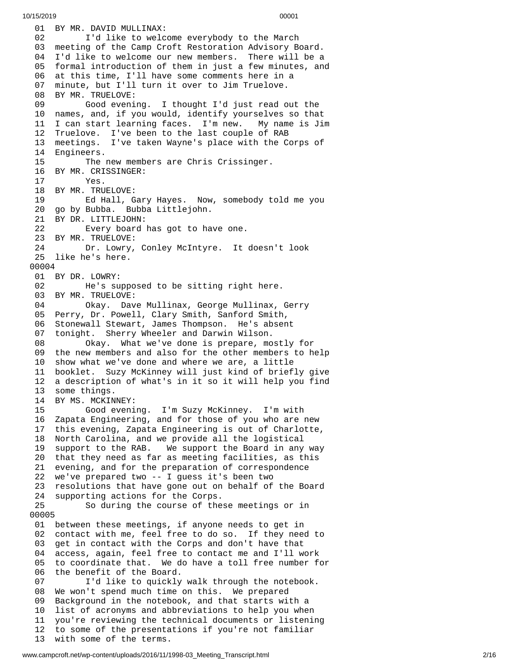01 BY MR. DAVID MULLINAX: 02 I'd like to welcome everybody to the March 03 meeting of the Camp Croft Restoration Advisory Board. 04 I'd like to welcome our new members. There will be a 05 formal introduction of them in just a few minutes, an d 0 6 at this time, I'll have some comments here in a 0 7 minute, but I'll turn it over to Jim Truelove. 08 BY MR. TRUELOVE: 09 Good evening. I thought I'd just read out the 10 names, and, if you would, identify yourselves so that 11 I can start learning faces. I'm new. My name is Jim 12 Truelove. I've been to the last couple of RAB 1 3 meetings. I've taken Wayne's place with the Corps of 14 Engineers. 15 The new members are Chris Crissinger. 16 BY MR. CRISSINGER: 17 Yes. 18 BY MR. TRUELOVE: 19 Ed Hall, Gary Hayes. Now, somebody t o l d m e y o u 20 go by Bubba. Bubba Littlejohn. 21 BY DR. LITTLEJOHN: 22 Every board has got to ha v e o n e. 23 BY MR. TRUELOVE:<br>24 Dr. Lowry, 24 Dr. Lowry, Conley McIntyre. It d o e s n't l o o k 25 like he's here. 00004 01 BY DR. LOWRY: 02 He's supposed to be sitting right here. 03 BY MR. TRUELOVE: 04 Okay. Dave Mullinax, George Mullinax, Gerry 05 Perry, Dr. Powell, Clary Smith, Sanford Smith, 06 Stonewall Stewart, James Thompson. He's absent 0 7 tonight. Sherry Wheeler and Darwin Wilson. 08 Okay. What we've done is prepare, mostly for 09 the new members and also for the other members to help 1 0 show what we've done and where we are, a little 1 1 booklet. Suzy McKinney will just kind of briefly give 1 2 a description of what's in it so it will help you find 13 some things. 14 BY MS. MCKINNEY: 15 Good evening. I'm Suzy McKinney. I'm with 16 Zapata Engineering, and for those of you who are new 17 this evening, Zapata Engineering is out of Charlotte, 18 North Carolina, and we provide all the logistical 19 support to the RAB. We support the Board in any way 20 that they need as far as meeting facilities, as this 21 evening, and for the preparation of correspondence 22 we've prepared two -- I guess it's been two 23 resolutions that have gone out on behalf of the Board 24 supporting actions for the Corps. 25 So during the course of these meetings or in 0 0 0 0 5 01 between these meetings, if anyone needs to get in 02 contact with me, feel free to do so. If they need to 0 3 get in contact with the Corps and don't have that 04 access, again, feel free to contact me and I'll work 05 to coordinate that. We do have a toll free number for 06 the benefit of the Board. 07 I'd like to quickly walk through the notebook. 08 We won't spend much time on this. We prepared 09 Background in the notebook, and that starts with a 10 list of acronyms and abbreviations to help you when 11 you're reviewing the technical documents or listenin g 12 to some of the presentations if you're not familiar 13 with some of the terms.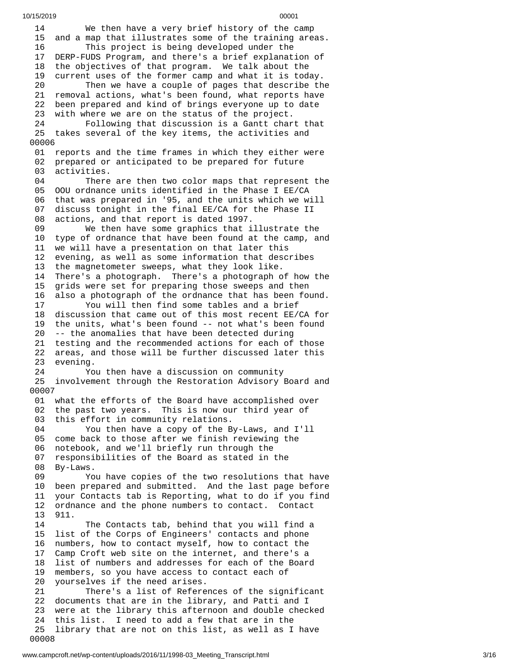1 4 We then have a very brief history of the camp 15 and a map that illustrates some of the training areas. 16 This project is being developed under the 17 DERP-FUDS Program, and there's a brief explanation of 18 the objectives of that program. We talk about the 19 current uses of the former camp and what it is today. 20 Then we have a couple of pages that describe the 21 removal actions, what's been found, what reports have 22 been prepared and kind of brings everyone up to date 23 with where we are on the status of the project. 24 Following that discussion is a Gantt chart that 25 takes several of the key items, the activities and 0 0 0 0 6 01 reports and the time frames in which they either were 02 prepared or anticipated to be prepared for future 03 activities. 04 There are then two color maps that represent the 05 OOU ordnance units identified in the Phase I EE/CA 06 that was prepared in '95, and the units which we will 0 7 discuss tonight in the final EE/CA for the Phase II 0 8 actions, and that report is dated 1997. 09 We then have some graphics that illustrate the 10 type of ordnance that have been found at the camp, and 1 1 we will have a presentation on that later this 1 2 evening, as well as some information that describes 13 the magnetometer sweeps, what they look like. 14 There's a photograph. There's a photograph of how the 1 5 grids were set for preparing those sweeps and then 1 6 also a photograph of the ordnance that has been found. 17 You will then find some tables and a brief 18 discussion that came out of this most recent EE/CA for 19 the units, what's been found -- not what's been found 20 -- the anomalies that have been detected during 21 testing and the recommended actions for each of those 22 areas, and those will be further discussed later this evening. 24 You then have a discussion on community 25 involvement through the Restoration Advisory Board and 0 0 0 0 7 01 what the efforts of the Board have accomplished over 02 the past two years. This is now our third year of 03 this effort in community relations. 04 You then have a copy of the By-Laws, and I'll 05 come back to those after we finish reviewing the 0 6 notebook, and we'll briefly run through the 0 7 responsibilities of the Board as stated in the 0 8 By-Laws. 09 You have copies of the two resolutions that have 1 0 been prepared and submitted. And the last page before 1 1 your Contacts tab is Reporting, what to do if you find 1 2 ordnance and the phone numbers to contact. Contact 1 3 9 1 1. 14 The Contacts tab, behind that you will find a 1 5 list of the Corps of Engineers' contacts and phone 1 6 numbers, how to contact myself, how to contact the 1 7 Camp Croft web site on the internet, and there's a 1 8 list of numbers and addresses for each of the Board 1 9 members, so you have access to contact each of 2 0 yourselves if the need arises. 21 There's a list of References of the significant 22 documents that are in the library, and Patti and I 23 were at the library this afternoon and double checked 2 4 this list. I need to add a few that are in the 2 5 library that are not on this list, as well as I have 0 0 0 0 8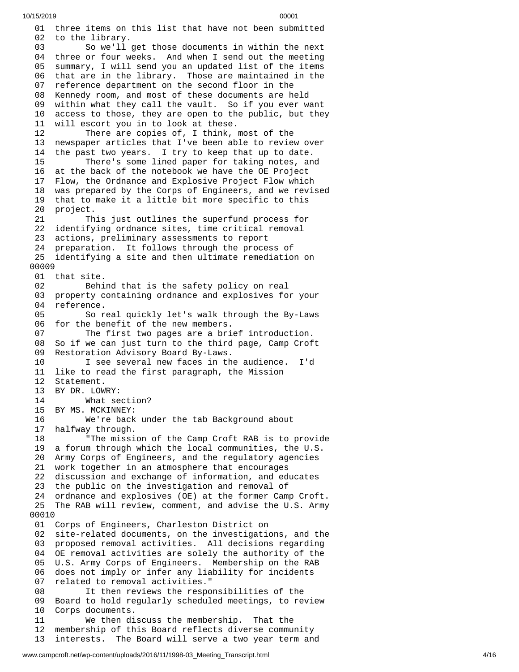01 three items on this list that have not been submitted 02 to the library. 03 So we'll get those documents in within the next 04 three or four weeks. And when I send out the meeting 05 summary, I will send you an updated list of the items 0 6 that are in the library. Those are maintained in the 0 7 reference department on the second floor in the 08 Kennedy room, and most of these documents are held 09 within what they call the vault. So if you ever want 10 access to those, they are open to the public, but they 11 will escort you in to look at these. 12 There are copies of, I think, most of the 13 newspaper articles that I've been able to review over 14 the past two years. I try to keep that up to date. 15 There's some lined paper for taking notes, an d 16 at the back of the notebook we have the OE Project 17 Flow, the Ordnance and Explosive Project Flow which 18 was prepared by the Corps of Engineers, and we revised 19 that to make it a little bit more specific to this 2 0 project.  $21$ is just outlines the superfund process for 2 2 identifying ordnance sites, time critical removal 2 3 actions, preliminary assessments to report 2 4 preparation. It follows through the process of 25 identifying a site and then ultimate remediation on 0 0 0 0 9 01 that site. 02 Behind that is the safety policy on real 0 3 property containing ordnance and explosives for your 04 reference. 05 So real quickly let's walk through the By-Laws 06 for the benefit of the new members. 07 The first two pages are a brief introduction. 08 So if we can just turn to the third page, Camp Crof t 0 9 Restoration Advisory Board By-Laws. 10 I see several new faces in th e a u d i e n c e. I'd 11 like to read the first paragraph, the Mission 12 Statement. 13 BY DR. LOW R Y: 14 What section? 15 BY MS. MCKINNEY: 16 We're back u n d e r t h e t a b B a c k g r o u n d a b o u t 17 halfway through. 18 "The mission of the Camp Croft RAB is to provide 19 a forum through which the local communities, the U.S. 20 Army Corps of Engineers, and the regulatory agencies 21 work together in an atmosphere that encourages 22 discussion and exchange of information, and educates 23 the public on the investigation and removal of 24 ordnance and explosives (OE) at the former Camp Croft. 25 The RAB will review, comment, and advise the U.S. Army 00010 01 Corps of Engineers, Charleston District on 02 site-related documents, on the investigations, and the 03 proposed removal activities. All decisions regarding 04 OE removal activities are solely the authority of the 05 U.S. Army Corps of Engineers. Membership on the RAB 06 does not imply or infer any liability for incidents 0 7 related to removal activities." 0 8 It then reviews the responsibilities of the 09 Board to hold regularly scheduled meetings, to review 1 0 Corps documents. 11 We then discuss the membership. That the 1 2 membership of this Board reflects diverse community 1 3 interests. The Board will serve a two year term and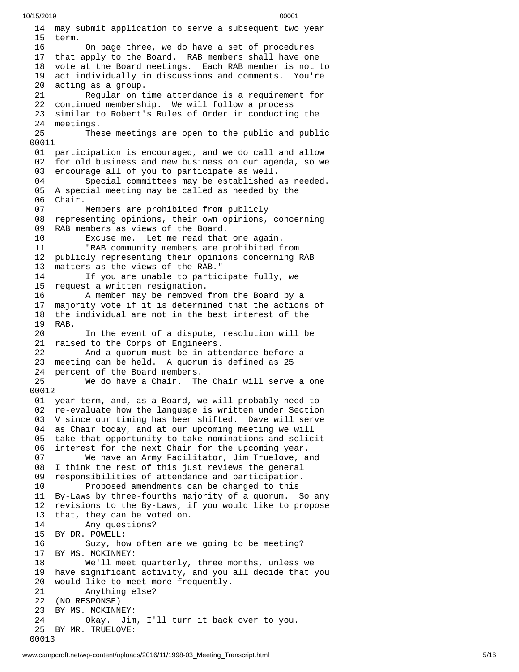14 may submit application to serve a subsequent two year 1 5 t e r m. 16 On page three, we do have a set of procedures 17 that apply to the Board. RAB members shall have one 18 vote at the Board meetings. Each RAB member is not to 1 9 act individually in discussions and comments. You're 2 0 acting as a group. 21 Regular on time attendance is a requirement for 22 continued membership. We will follow a process 23 similar to Robert's Rules of Order in conducting the 2 4 meetings. 25 These meetings are open to the public and public 00011 01 participation is encouraged, and we do call and allow 02 for old business and new business on our agenda, so we 03 encourage all of you to participate as well. 04 Special committees may be established as needed. 05 A special meeting may be called as needed by the 06 Chair. 07 Members are prohibited from publicly 08 representing opinions, their own opinions, concerning 09 RAB members as views of the Board.<br>10 Excuse me. Let me read that Excuse me. Let me read that one again. 11 "RAB community members are prohibited from 12 publicly representing their opinions concerning RAB 13 matters as the views of the RAB." 14 If you are unable to participate fully, we 15 request a written resignation. 16 A member may be removed from the Board by a 17 majority vote if it is determined that the actions of 18 the individual are not in the best interest of the 19 RAB. 20 In the event of a dispute, resolution will be 21 raised to the Corps of Engineers. 22 And a quorum must be in attendance before a 23 meeting can be held. A quorum is defined as 25 24 percent of the Board members. 25 We do have a Chair. The Chair will serve a one 0 0 0 1 2 01 year term, and, as a Board, we will probably need to 02 re-evaluate how the language is written under Section 03 V since our timing has been shifted. Dave will serve 04 as Chair today, and at our upcoming meeting we will 05 take that opportunity to take nominations and solicit 0 6 interest for the next Chair for the upcoming year. 07 We have an Army Facilitator, Jim Truelove, a n d 08 I think the rest of this just reviews the general 0 9 responsibilities of attendance and participation. 10 Proposed amendments can be changed to this 11 By-Laws by three-fourths majority of a quorum. So any 1 2 revisions to the By-Laws, if you would like to propose 1 3 that, they can be voted on. 14 Any questions? 15 BY DR. POWELL: 16 Suzy, how often are we going to be meeting? 17 BY MS. MCKINNEY: 18 We'll meet q u a r t e r l y , t h r e e m o n t h s , u n l e s s w e 1 9 have significant activity, and you all decide that you 2 0 would like to meet more frequently. 21 Anything else?<br>22 (NO RESPONSE) (NO RESPONSE) 23 BY MS. MCKINNEY: 24 Okay. Jim, I'll turn it back o v e r t o y o u. 25 BY MR. TRUELOVE: 00013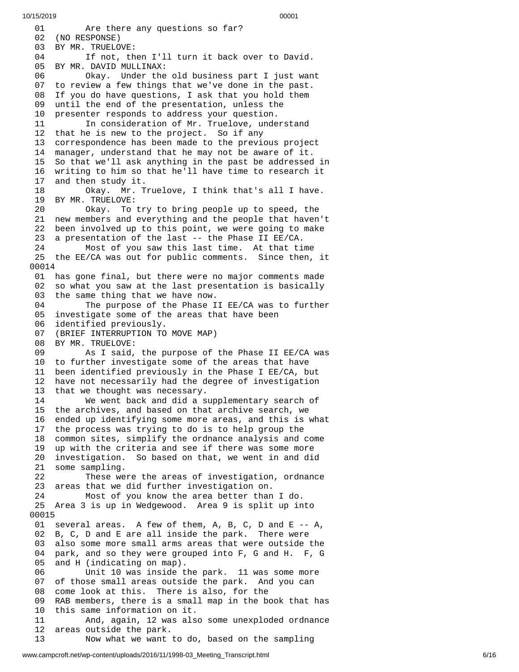0 1 Are there any questions so far? 02 (NO RESPONSE) 03 BY MR. TRUELOVE: 04 If not, then I'll turn it back over to David. 05 BY MR. DAVID MULLINAX: 06 Okay. Under the old business part I just wan t 0 7 to review a few things that we've done in the past. 08 If you do have questions, I ask that you hold them 09 until the end of the presentation, unless the 10 presenter responds to address your question. 11 In consideration of Mr. Truelove, understand 12 that he is new to the project. So if any 13 correspondence has been made to the previous projec t 1 4 manager, understand that he may not be aware of it. 15 So that we'll ask anything in the past be addressed i n 16 writing to him so that he'll have time to research it 1 7 and then study it. 18 Okay. Mr. T r u e l o v e , I t h i n k t h a t's a l l I h a v e. 19 BY MR. TRUELOVE: 20 Okay. To try to bring people up to speed, the 21 new members and everything and the people that haven't 22 been involved up to this point, we were going to make<br>23 a presentation of the last -- the Phase II EE/CA. 23 a presentation of the last -- the Phase II EE/CA. Most of you saw this last time. At that time 25 the EE/CA was out for public comments. Since then, it 0 0 0 1 4 01 has gone final, but there were no major comments made 0 2 so what you saw at the last presentation is basically 03 the same thing that we have now. 04 The purpose of the Phase II EE/CA was to further 05 investigate some of the areas that have been 0 6 identified previously. 07 (BRIEF INTERRUPTION TO MOVE MAP) 08 BY MR. TRUELOVE: 09 As I said, t h e p u r p o s e o f t h e P h a s e I I E E / C A w a s 10 to further investigate some of the areas that have 1 1 been identified previously in the Phase I EE/CA, but 1 2 have not necessarily had the degree of investigation 13 that we thought was necessary. 14 We went back and did a s u p p l e m e n t a r y s e a r c h o f 15 the archives, and based on that archive search, we 1 6 ended up identifying some more areas, and this is what 17 the process was trying to do is to help group the 18 common sites, simplify the ordnance analysis and come 19 up with the criteria and see if there was some more 20 investigation. So based on that, we went in and did 21 some sampling. 22 These were the areas of investigation, ordnance 23 areas that we did further investigation on. 24 Most of you know the area better than I d o. 25 Area 3 is up in Wedgewood. Area 9 is split up in t o 0 0 0 1 5 01 several areas. A few of them, A, B, C, D and E -- A, 02 B, C, D and E are all inside the park. There were 0 3 also some more small arms areas that were outside the 0 4 park, and so they were grouped into F, G and H. F, G 0 5 and H (indicating on map). 06 Unit 10 was inside the park. 11 was some more 0 7 of those small areas outside the park. And you can 0 8 come look at this. There is also, for the 0 9 RAB members, there is a small map in the book that has 1 0 this same information on it. 11 And, again, 12 was als o s o m e u n e x p l o d e d o r d n a n c e 1 2 areas outside the park. 13 Now what we want to do, based on the sampling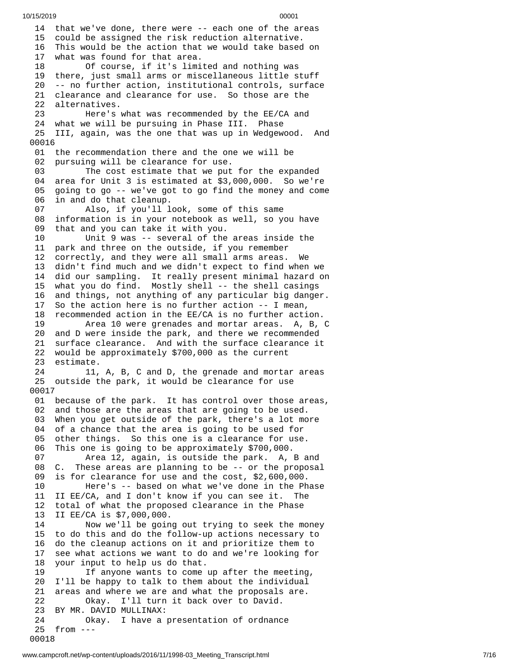14 that we've done, there were -- each one of the areas 15 could be assigned the risk reduction alternative. 16 This would be the action that we would take based o n 1 7 what was found for that area. 18 Of course, if it's limi t e d a n d n o t h i n g w a s 1 9 there, just small arms or miscellaneous little stuff 2 0 -- no further action, institutional controls, surface 21 clearance and clearance for use. So those are the 22 alternatives. 23 Here's w h a t w a s r e c o m m e n d e d b y t h e E E / C A a n d 24 what we will be pursuing in Phase III. Phase 25 III, again, was the one that was up in Wedgewood. And 00016 01 the recommendation there and the one we will be 02 pursuing will be clearance for use. 03 The cost estimate that we put for the expanded 04 area for Unit 3 is estimated at \$3,000,000. So we're 0 5 going to go -- we've got to go find the money and come 0 6 in and do that cleanup. 07 Also, if you'll look, some of this same 0 8 information is in your notebook as well, so you have 0 9 that and you can take it with you. 10 Unit 9 was -- several of the areas inside the 11 park and three on the outside, if you remember 12 correctly, and they were all small arms areas. We We 13 didn't find much and we didn't expect to find when we 14 did our sampling. It really present minimal hazard on 15 what you do find. Mostly shell -- the shell casings 16 and things, not anything of any particular big danger. 17 So the action here is no further action -- I mean, 18 recommended action in the EE/CA is no further action. 19 Area 10 were grenades and mortar areas. A, B, C 20 and D were inside the park, and there we recommended 21 surface clearance. And with the surface clearance it 22 would be approximately \$700,000 as the current 23 estimate. 24 11, A, B, C and D, the grenade and mortar areas 25 outside the park, it would be clearance for use 0 0 0 1 7 01 because of the park. It has control over those areas, 02 and those are the areas that are going to be used. 03 When you get outside of the park, there's a lot mo r e 04 of a chance that the area is going to be used for 05 other things. So this one is a clearance for use. 06 This one is going to be approximately \$700,000. 07 Area 12, again, is outside the park. A, B a n d 0 8 C. These areas are planning to be -- or the proposal 09 is for clearance for use and the cost, \$2,600,000. 10 Here's -- based on what we've done in the Ph a s e 11 II EE/CA, and I don't know if you can see it. The 1 2 total of what the proposed clearance in the Phase 1 3 II EE/CA is \$7,000,000. 14 Now we'll be going out trying to seek the money 15 to do this and do the follow-up actions necessary to 1 6 do the cleanup actions on it and prioritize them to 1 7 see what actions we want to do and we're looking for 1 8 your input to help us do that. 19 If anyone wants to come up after the meeting, 2 0 I'll be happy to talk to them about the individual 2 1 areas and where we are and what the proposals are. 22 Okay. I'll turn it back over to David. 23 BY MR. DAVID MULLINAX: 24 Okay. I have a presentation of ordnance 25 from --- 0 0 0 1 8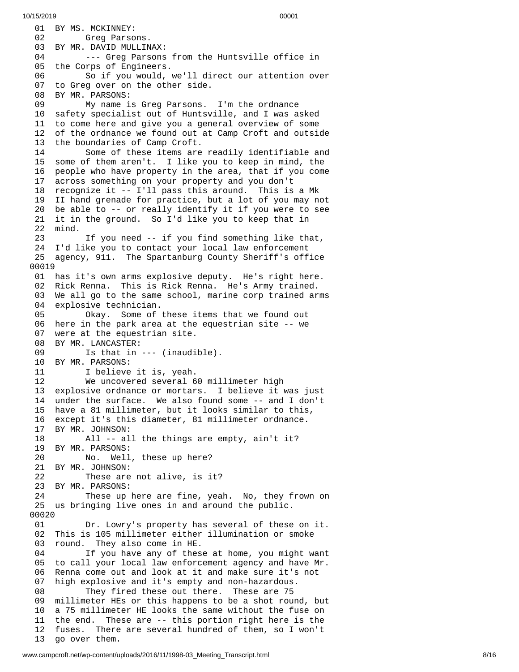01 BY MS. MCKINNEY: 02 Greg Parso n s. 03 BY MR. DAVID MULLINAX: 04 --- Greg Parsons from the Huntsville office in 05 the Corps of Engineers. 06 So if you would, we'll direct our attention over 0 7 to Greg over on the other side. 08 BY MR. PARSONS: 09 My name is Greg Parsons. I'm the ordnance 1 0 safety specialist out of Huntsville, and I was asked 11 to come here and give you a general overview of some 1 2 of the ordnance we found out at Camp Croft and outside 13 the boundaries of Camp Croft. 14 Some of these items are readily identifiable and 15 some of them aren't. I like you to keep in mind, the 16 people who have property in the area, that if you come 17 across something on your property and you don't 18 recognize it -- I'll pass this around. This is a Mk 19 II hand grenade for practice, but a lot of you may not 20 be able to -- or really identify it if you were to see 21 it in the ground. So I'd like you to keep that in 2 2 m i n d. 23 If you need -- if you find something like that, 24 I'd like you to contact your local law enforcement 25 agency, 911. The Spartanburg County Sheriff's office 00019 01 has it's own arms explosive deputy. He's right here. 02 Rick Renna. This is Rick Renna. He's Army trained. 03 We all go to the same school, marine corp trained arm s 04 explosive technician. 05 Okay. Some of t h e s e i t e m s t h a t w e f o u n d o u t 06 here in the park area at the equestrian site -- we 07 were at the equestrian site. 08 BY MR. LANCASTER: 09 Is that in --- (inaudi b l e ). 10 BY MR. PARSONS: 11 I believe it is, yeah. 12 We uncovered several 60 millimeter high 13 explosive ordnance or mortars. I believe it was just 14 under the surface. We also found some -- and I don't 15 have a 81 millimeter, but it looks similar to this, 16 except it's this diameter, 81 millimeter ordnance. 17 BY MR. JOHNSON: 18 All -- all the things are empty, ain't it? 19 BY MR. PARSONS:<br>20 No. Well No. Well, these up here? 21 BY MR. JOHNSON: 22 These are not alive, is it? 23 BY MR. PARSONS: 24 These up here are fine, yeah. No, they frow n o n 25 us bringing live ones in and around the public. 00020 01 Dr. Lowry's property has several of these o n i t. 02 This is 105 millimeter either illumination or smoke 03 round. They also come in HE. 04 If you have any of these at home, you might want 05 to call your local law enforcement agency and have Mr. 06 Renna come out and look at it and make sure it's not 07 high explosive and it's empty and non-hazardous. 08 They fired these out there. These are 75 millimeter HEs or this happens to be a shot round, but 10 a 75 millimeter HE looks the same without the fuse on 11 the end. These are -- this portion right here is the 12 fuses. There are several hundred of them, so I won't 13 go over them.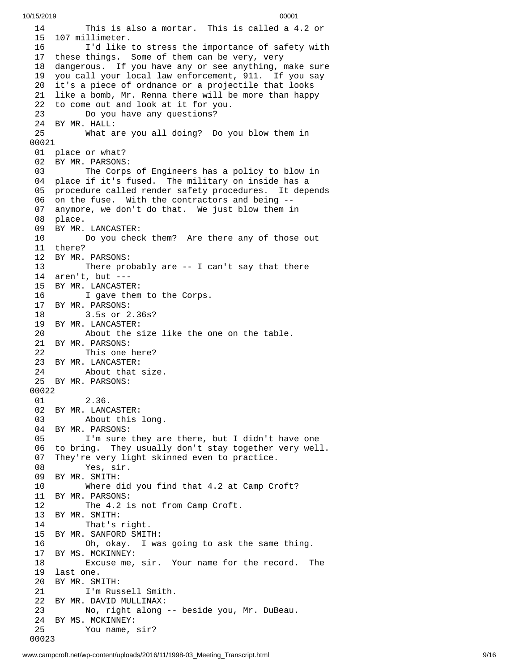1 4 This is also a mortar. This is called a 4.2 or 15 107 millimeter. 16 I'd like to stress the importance of safety with 17 these things. Some of them can be very, very 1 8 dangerous. If you have any or see anything, make sure 1 9 you call your local law enforcement, 911. If you say 2 0 it's a piece of ordnance or a projectile that looks 21 like a bomb, Mr. Renna there will be more than happy 22 to come out and look at it for you. 23 Do you have any questions? 24 BY MR. HALL: 25 What are you all doing? Do y o u b l o w t h e m i n 0 0 0 2 1 01 place or what? 02 BY MR. PARSONS: 03 The Corps of Engineers has a policy to blow in 04 place if it's fused. The military on inside has a 05 procedure called render safety procedures. It depends 06 on the fuse. With the contractors and being --07 anymore, we don't do that. We just blow them in 08 place. 09 BY MR. LANCASTER: 10 Do you chec k t h e m ? A r e t h e r e a n y o f t h o s e o u t 1 1 t h e r e ? 12 BY MR. PARSONS: 13 There probably are -- I can't say that there 14 aren't, but ---15 BY MR. LANCASTER: 16 I gave them to the Corps. 17 BY MR. PARSONS: 18 3.5s or 2.36s? 19 BY MR. LANCASTER: 20 About the size like the o n e o n t h e t a b l e. 21 BY MR. PARSONS: 22 This one here? 23 BY MR. LANCASTER: 24 About that size. 25 BY MR. PARSONS: 00022 01 2.36. 02 BY MR. LANCASTER: 03 About this long. 04 BY MR. PARSONS: 05 I'm sure they are there, but I didn't have one 06 to bring. They usually don't stay together very well. 07 They're very light skinned even to practice. 08 Yes, sir. 09 BY MR. SMITH: 10 Where did you find that 4.2 at Camp Croft? 11 BY MR. PARSONS: 12 The 4.2 is not from Camp Croft. 13 BY MR. SMITH: 14 That's right. 15 BY MR. SANFORD SMITH: 16 Oh, okay. I was going to ask the same thing. 17 BY MS. MCKINNEY: 18 Excuse me, sir. Your name for the record. The 19 last one. 20 BY MR. SMITH: 21 I'm Russell Smith. 22 BY MR. DAVID MULLINAX: 23 No, right along -- beside you, Mr. DuBeau. 24 BY MS. MCKINNEY:<br>25 You name, You name, sir? 0 0 0 2 3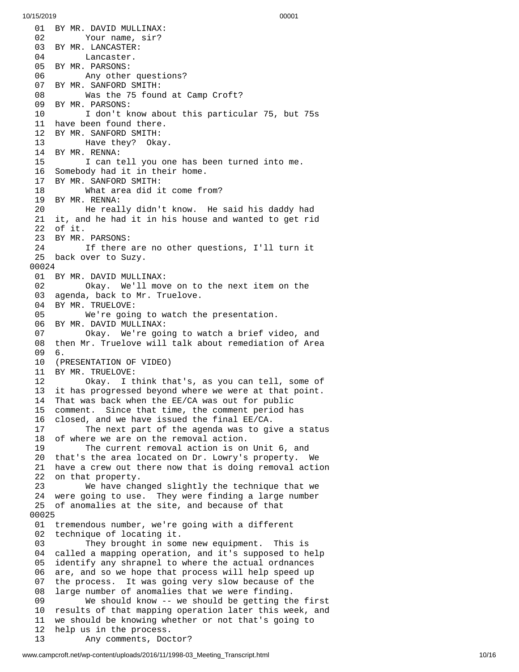01 BY MR. DAVID MULLINAX: 02 Your name, sir? 03 BY MR. LANCASTER: 04 Lancaster. 05 BY MR. PARSONS: 06 Any other questi o n s ? 07 BY MR. SANFORD SMITH: 08 Was the 75 found at Camp Croft? 09 BY MR. PARSONS: 10 I don't know about this particular 75, but 75s 1 1 h a v e b e e n f o u n d t h e r e. 12 BY MR. SANFORD SMITH: 13 Have they? Okay. 14 BY MR. RENNA: 15 I can tell you one has been turned into me. 16 Somebody had it in their home. 17 BY MR. SANFORD SMITH: 18 What area did it come from? 19 BY MR. RENNA: 20 He really didn't know. He said his daddy h a d 21 it, and he had it in his house and wanted to get rid 2 2 o f i t. 23 BY MR. PARSONS: 24 If there are no other questions, I'll turn it 25 back over to Suzy. 00024 01 BY MR. DAVID MULLINAX: 02 Okay. We'll mov e o n t o t h e n e x t i t e m o n t h e 03 agenda, back to Mr. Truelove. 04 BY MR. TRUELOVE: 05 We're going to watch th e p r e s e n t a t i o n. 06 BY MR. DAVID MULLINAX: 07 Okay. We're going to watch a brief vi d e o , a n d 08 then Mr. Truelove will talk about remediation of Area 0 9 6. 10 (PRESENTATION OF VIDEO) 11 BY MR. TRUELOVE: 12 Okay. I t h i n k t h a t's , a s y o u c a n t e l l , s o m e o f 13 it has progressed beyond where we were at that point. 14 That was back when the EE/CA was out for public 15 comment. Since that time, the comment period has 16 closed, and we have issued the final EE/CA. 17 The next part of the agenda was to give a statu s 18 of where we are on the removal action. 19 The current removal action is on Unit 6, and 20 that's the area located on Dr. Lowry's property. We 21 have a crew out there now that is doing removal action 22 on that property. 23 We have changed slightly the technique that we 24 were going to use. They were finding a large number 25 of anomalies at the site, and because of that 0 0 0 2 5 01 tremendous number, we're going with a different 02 technique of locating it. 03 They brought in some new equipment. This is 04 called a mapping operation, and it's supposed to help 0 5 identify any shrapnel to where the actual ordnances 0 6 are, and so we hope that process will help speed up 0 7 the process. It was going very slow because of the 0 8 large number of anomalies that we were finding. 09 We should know -- we should be getting the first 10 results of that mapping operation later this week, and 11 we should be knowing whether or not that's going to 1 2 help us in the process. 13 Any comments, Doc t o r ?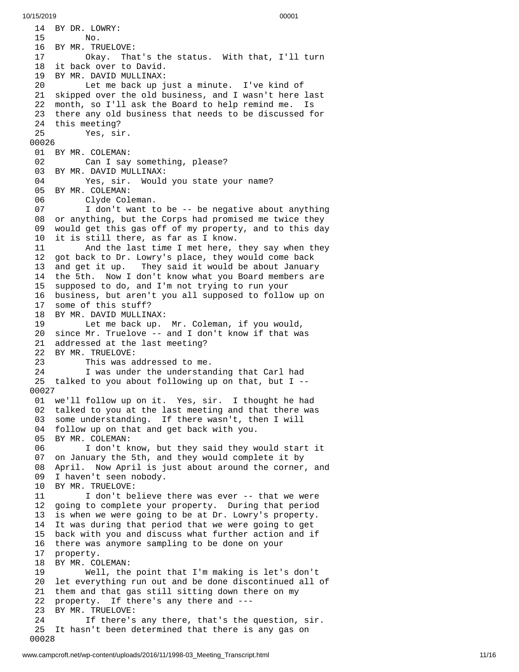1 4 B Y D R. L O W R Y: 15 No. 16 BY MR. TRUELO V E: 17 Okay. Tha t's t h e s t a t u s. W i t h t h a t , I'l l t u r n 18 it back over to David. 19 BY MR. DAVID MULLINAX: 20 Let me back up just a minute. I've kind of 21 skipped over the old business, and I wasn't here last 2 2 month, so I'll ask the Board to help remind me. Is 23 there any old business that needs to be discussed for 24 this meeting? 2 5 Yes, sir. 00026 01 BY MR. COLEMAN: 02 Can I say something, please? 03 BY MR. DAVID MULLINAX: 04 Yes, sir. Would you state your name? 05 BY MR. COLEMAN: 06 Clyde Col e m a n. 07 I don't want to be -- be negative about anything 08 or anything, but the Corps had promised me twice they 0 9 would get this gas off of my property, and to this day 1 0 it is still there, as far as I know. 11 And the last time I met here, t h e y s a y w h e n t h e y 12 got back to Dr. Lowry's place, they would come back 13 and get it up. Tl hey said it would be about January 14 the 5th. Now I don't know what you Board members are 15 supposed to do, and I'm not trying to run your 16 business, but aren't you all supposed to follow up on 1 7 s o m e o f t h i s s t u f f ? 18 BY MR. DAVID MULLINAX: 19 Let me back up. Mr. Coleman, if you would, 20 since Mr. Truelove -- and I don't know if that was 21 addressed at the last meeting? 22 BY MR. TRUELOVE: 23 This was addressed to me. 24 I was under the understanding that Carl had 25 talked to you about following up on that, but I --0 0 0 2 7 01 we'll follow up on it. Yes, sir. I thought he had 02 talked to you at the last meeting and that there was 03 some understanding. If there wasn't, then I will 04 follow up on that and get back with you. 05 BY MR. COLEMAN: 06 I don't know, but they said they would start it 07 on January the 5th, and they would complete it by 08 April. Now April is just about around the corner, and 09 I haven't seen nobody. 10 BY MR. TRUELOVE: 11 I don't believe there was ever -- that we were 1 2 going to complete your property. During that period 1 3 is when we were going to be at Dr. Lowry's property. 14 It was during that period that we were going to get 15 back with you and discuss what further action and if 16 there was anymore sampling to be done on your 17 property. 18 BY MR. COLEMAN: 19 Well, the point that I'm making is let's don't 20 let everything run out and be done discontinued all o f 21 them and that gas still sitting down there on my 22 property. If there's any there and ---23 BY MR. TRUELOVE: 24 If there's any there, that's the question, sir. 25 It hasn't been determined that there is any gas on 0 0 0 2 8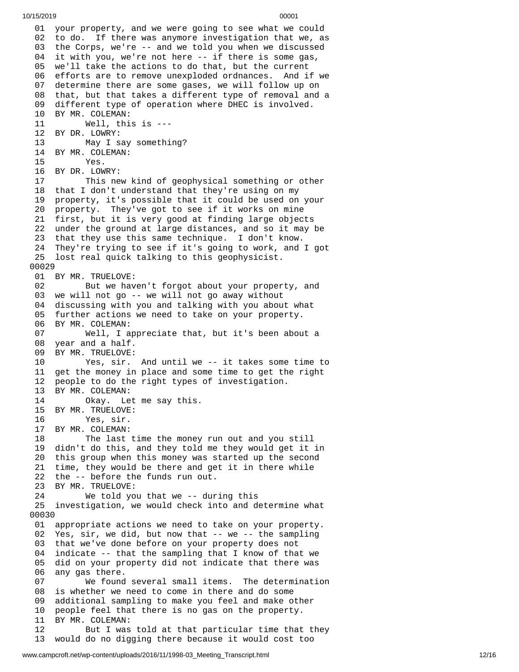01 your property, and we were going to see what we could 02 to do. If there was anymore investigation that we, as 03 the Corps, we're -- and we told you when we discussed 04 it with you, we're not here -- if there is some gas, 05 we'll take the actions to do that, but the current 06 efforts are to remove unexploded ordnances. And if we 0 7 determine there are some gases, we will follow up on 08 that, but that takes a different type of removal and a 09 different type of operation where DHEC is involved. 10 BY MR. COLEMAN: 11 Well, this is --- 12 BY DR. LOWRY: 13 May I say something? 14 BY MR. COLEMAN: 15 Yes. 16 BY DR. LOWRY: 17 This new kind of geophysical something or oth e r 18 that I don't understand that they're using on my 19 property, it's possible that it could be used on your 20 property. They've got to see if it works on mine 21 first, but it is very good at finding large objects 22 under the ground at large distances, and so it may be 23 that they use this same technique. I don't know. 24 They're trying to see if it's going to work, and I got 25 lost real quick talking to this geophysicist. 00029 01 BY MR. TRUELOVE: 02 But we haven't forgot about your property, and 03 we will not go -- we will not go away without 04 discussing with you and talking with you about what 05 further actions we need to take on your property. 06 BY MR. COLEMAN: 07 Well, I appreciate that, but it's been abou t a 08 year and a half. 09 BY MR. TRUELOVE: 10 Yes, sir. And until we -- it takes some time to 11 get the money in place and some time to get the right 1 2 people to do the right types of investigation. 13 BY MR. COLEMAN: 14 Okay. Let me say this. 15 BY MR. TRUELOVE: 16 Yes, sir. 17 BY MR. COLEMAN: 18 The last time the money run out and you s t i l l 19 didn't do this, and they told me they would get it in 20 this group when this money was started up the second 21 time, they would be there and get it in there while 22 the -- before the funds run out. 23 BY MR. TRUELOVE: 24 We told you that we -- dur i n g t h i s 25 investigation, we would check into and determine what 0 0 0 3 0 01 appropriate actions we need to take on your property. 02 Yes, sir, we did, but now that -- we -- the sampling 03 that we've done before on your property does not 04 indicate -- that the sampling that I know of that we 05 did on your property did not indicate that there was any gas there. 07 We found several small items. The determinatio n 08 is whether we need to come in there and do some 0 9 additional sampling to make you feel and make other 1 0 people feel that there is no gas on the property. 11 BY MR. COLEMAN: 12 But I was told at that particular time that they 13 would do no digging there because it would cost too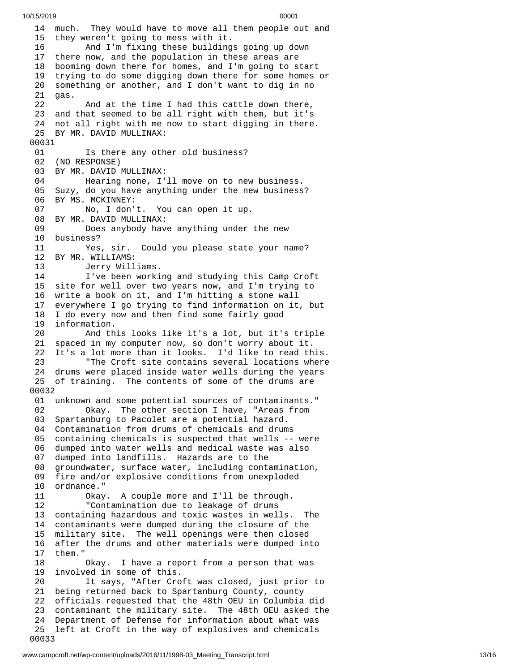14 much. They would have to move all them people out and 15 they weren't going to mess with it. 16 And I'm fixing these buildings going up down 17 there now, and the population in these areas are 1 8 booming down there for homes, and I'm going to start 1 9 trying to do some digging down there for some homes or 2 0 something or another, and I don't want to dig in no 2 1 g a s. 22 And at the time I had this cattle down there, 23 and that seemed to be all right with them, but it's 24 not all right with me now to start digging in there. 25 BY MR. DAVID MULLINAX: 00031 01 Is there any other old business? 02 (NO RESPONSE) 03 BY MR. DAVID MULLINAX: 04 Hearing none, I'll move on to new business. 05 Suzy, do you have anything under the new business? 06 BY MS. MCKINNEY: 07 No, I don't. You can open it up. 08 BY MR. DAVID MULLINAX: 09 Does anybody have anything under the new 10 business? 11 Yes, sir. Could you please state your name? 12 BY MR. WILLIAMS: 13 Jerry Williams. 14 I've been working and studying this Camp Croft 15 site for well over two years now, and I'm trying to 16 write a book on it, and I'm hitting a stone wall 17 everywhere I go trying to find information on it, bu t 18 I do every now and then find some fairly good 1 9 information. 20 And th i s l o o k s l i k e i t's a l o t , b u t i t's t r i p l e 21 spaced in my computer now, so don't worry about it. 22 It's a lot more than it looks. I'd like to read th i s. 23 "The Croft site contains several locations where 24 drums were placed inside water wells during the years 25 of training. The contents of some of the drums are 0 0 0 3 2 01 unknown and some potential sources of contaminants." 0 2 Okay. The other section I have, "Areas from 0 3 Spartanburg to Pacolet are a potential hazard. 04 Contamination from drums of chemicals and drum s 0 5 containing chemicals is suspected that wells -- were 0 6 dumped into water wells and medical waste was also 0 7 dumped into landfills. Hazards are to the 0 8 groundwater, surface water, including contamination, 09 fire and/or explosive conditions from unexploded 1 0 ordnance." 1 1 Okay. A couple more and I'll be through. 12 "Contamination due to leakage of drums 13 containing hazardous and toxic wastes in wells. T h e 1 4 contaminants were dumped during the closure of the 1 5 military site. The well openings were then closed 1 6 after the drums and other materials were dumped into 1 7 t h e m." 1 8 Okay. I have a report from a person that was 1 9 involved in some of this. 20 It says, "After Croft was closed, just prior to 21 being returned back to Spartanburg County, county 2 2 officials requested that the 48th OEU in Columbia did 23 contaminant the military site. The 48th OEU asked the 2 4 Department of Defense for information about what was 25 left at Croft in the way of explosives and chemicals 0 0 0 3 3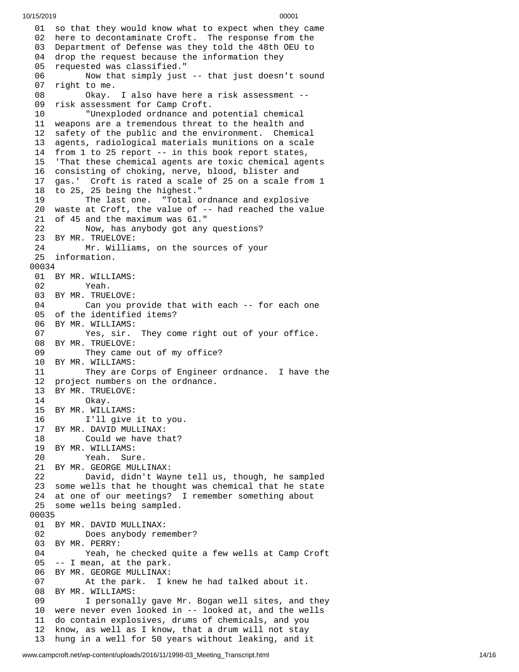01 so that they would know what to expect when they came 02 here to decontaminate Croft. The response from the 03 Department of Defense was they told the 48th OEU to 04 drop the request because the information they 0 5 requested was classified." 0 6 Now that simply just -- that just doesn't sound 0 7 right to me. 08 Okay. I also have here a risk assessment --0 9 risk assessment for Camp Croft. 10 "Unexploded ordnance and potential chemical 11 weapons are a tremendous threat to the health and 12 safety of the public and the environment. Chemical 1 3 agents, radiological materials munitions on a scale 14 from 1 to 25 report -- in this book report states, 15 5 'That these chemical agents are toxic chemical agents 16 consisting of choking, nerve, blood, blister and 1 7 gas.' Croft is rated a scale of 25 on a scale from 1 18 to 25, 25 being the highest." 1 9 The last on $\epsilon$ e. "Total ordnance and explosive 20 waste at Croft, the value of -- had reached the value 21 of 45 and the maximum was 61." 2 2 Now, has anybody got any questions? 23 BY MR. TRUELOVE: 24 Mr. Willia m s , o n t h e s o u r c e s o f y o u r 25 information. 00034 01 BY MR. WILLIAMS: 02 Yeah. 03 BY MR. TRUELOVE: 04 Can you provide that with each -- for each one 05 of the identified items? 06 BY MR. WILLIAMS: 07 Yes, sir. T hey come right out of your office. 08 BY MR. TRUELOVE: 09 They came out of my office? 10 BY MR. WILLIAMS: 11 They are Corps of Engineer ordnance. I have t h e 1 2 project numbers on the ordnance. 13 BY MR. TRUELOVE: 14 Okay. 15 BY MR. WILLIAMS: 16 I'll give it to you. 17 BY MR. DAVID MULLINAX: 18 Could we have that? 19 BY MR. WILLIAMS:<br>20 Yeah. Sur Yeah. Sure. 21 BY MR. GEORGE MULLINAX: 22 David, didn't Wayne tell u s , t h o u g h , h e s a m p l e d 23 some wells that he thought was chemical that he state 24 at one of our meetings? I remember something about 25 some wells being sampled. 00035 01 BY MR. DAVID MULLINAX: 02 Does anybody rememb e r ? 03 BY MR. PERRY: 04 Yeah, he checked quite a few wells at Camp Croft 05 -- I mean, at the park. 06 BY MR. GEORGE MULLINAX: 07 At the park. I knew he had talked about it. 08 BY MR. WILLIAMS:<br>09 I personal 09 I personally gave Mr. Bogan well sites, and they 10 were never even looked in -- looked at, and the wells 11 do contain explosives, drums of chemicals, and you 12 know, as well as I know, that a drum will not stay 13 hung in a well for 50 years without leaking, and it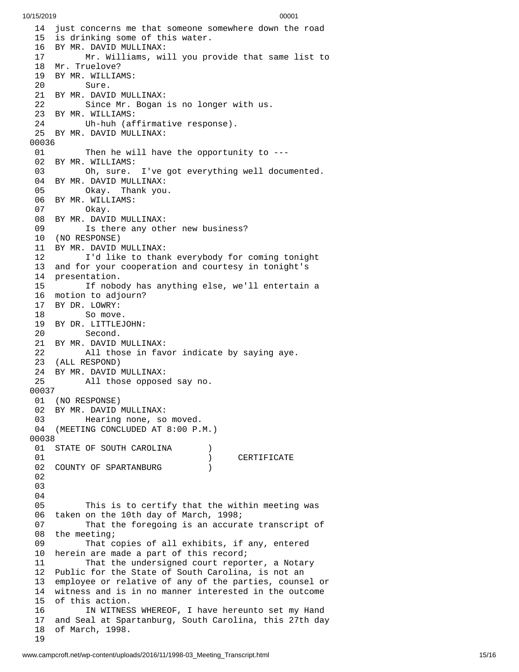14 just concerns me that someone somewhere down the road 15 is drinking some of this water. BY MR. DAVID MULLINAX: Mr. Williams, will you pr o v i d e t h a t s a m e l i s t t o 18 Mr. Truelove? 19 BY MR. WILLIAMS: Sure. 21 BY MR. DAVID MULLINAX: 22 Since Mr. Bogan is no longer with us. BY MR. WILLIAMS: Uh-huh (affirmative response). BY MR. DAVID MULLINAX: 01 Then he will have the opportunity to ---02 BY MR. WILLIAMS: Oh, sure. I'v e g o t e v e r y t h i n g w e l l d o c u m e n t e d. BY MR. DAVID MULLINAX: Okay. Thank you. BY MR. WILLIAMS: Okay. BY MR. DAVID MULLINAX: Is there any other new business? (NO RESPONSE) BY MR. DAVID MULLINAX: I'd like to thank everybody for coming tonight and for your cooperation and courtesy in tonight's presentation. If nobody has anything else, we'll entertain a motion to adjourn? BY DR. LOWRY: So move. BY DR. LITTLEJOHN: Second. BY MR. DAVID MULLINAX: All those in favor indicate by saying aye. (ALL RESPOND) BY MR. DAVID MULLINAX: All those opposed say no. (NO RESPONSE) BY MR. DAVID MULLINAX: Hearing none, so moved. (MEETING CONCLUDED AT 8:00 P.M.) 01 STATE OF SOUTH CAROLINA ) CERTIFICATE 02 COUNTY OF SPARTANBURG (1) This is to certify that the within meeting was taken on the 10th day of March, 1998; That the foregoing is an accurate transcript of the meeting; That copies of all exhibits, if any, entered herein are made a part of this record; That the undersigned court reporter, a Notary Public for the State of South Carolina, is not an employee or relative of any of the parties, counsel o r 14 witness and is in no manner interested in the outcome 15 of this action. 16 IN WITNESS WHEREOF, I have hereunto set my Hand 7 and Seal at Spartanburg, South Carolina, this 27th day 8 of March, 1998.